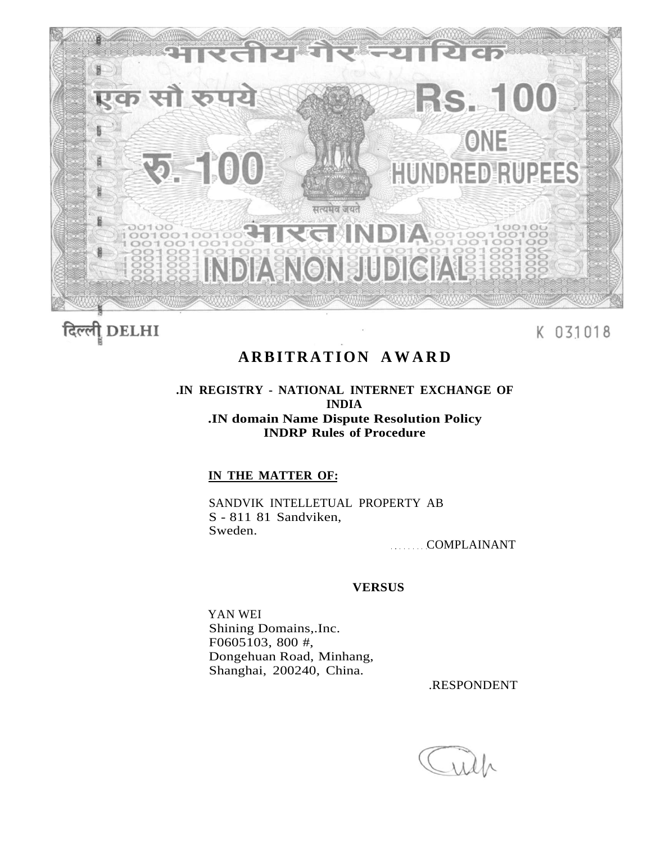

दिल्ली **DELHI** 

K 031018

# **ARBITRATION AWAR D**

# **.IN REGISTRY - NATIONAL INTERNET EXCHANGE OF INDIA .IN domain Name Dispute Resolution Policy INDRP Rules of Procedure**

# **IN THE MATTER OF:**

SANDVIK INTELLETUAL PROPERTY AB S - 811 81 Sandviken, Sweden.

COMPLAINANT

# **VERSUS**

YAN WEI Shining Domains,.Inc. F0605103, 800 #, Dongehuan Road, Minhang, Shanghai, 200240, China.

.RESPONDENT

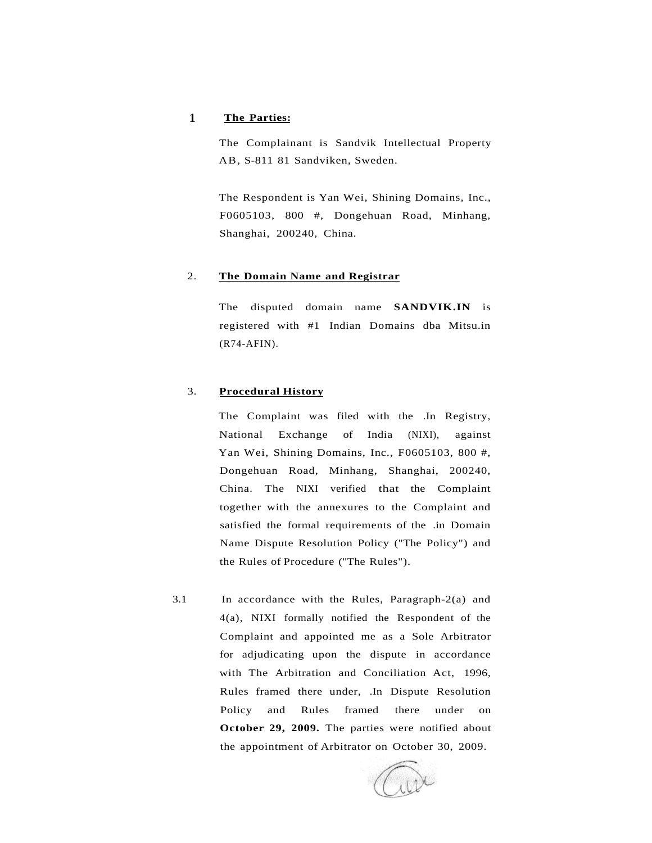## **1 The Parties:**

The Complainant is Sandvik Intellectual Property AB, S-811 81 Sandviken, Sweden.

The Respondent is Yan Wei, Shining Domains, Inc., F0605103, 800 #, Dongehuan Road, Minhang, Shanghai, 200240, China.

#### 2. **The Domain Name and Registrar**

The disputed domain name **SANDVIK.IN** is registered with #1 Indian Domains dba Mitsu.in (R74-AFIN).

#### 3. **Procedural History**

The Complaint was filed with the .In Registry, National Exchange of India (NIXI), against Yan Wei, Shining Domains, Inc., F0605103, 800 #, Dongehuan Road, Minhang, Shanghai, 200240, China. The NIXI verified that the Complaint together with the annexures to the Complaint and satisfied the formal requirements of the .in Domain Name Dispute Resolution Policy ("The Policy") and the Rules of Procedure ("The Rules").

3.1 In accordance with the Rules, Paragraph-2(a) and 4(a), NIXI formally notified the Respondent of the Complaint and appointed me as a Sole Arbitrator for adjudicating upon the dispute in accordance with The Arbitration and Conciliation Act, 1996, Rules framed there under, .In Dispute Resolution Policy and Rules framed there under on **October 29, 2009.** The parties were notified about the appointment of Arbitrator on October 30, 2009.

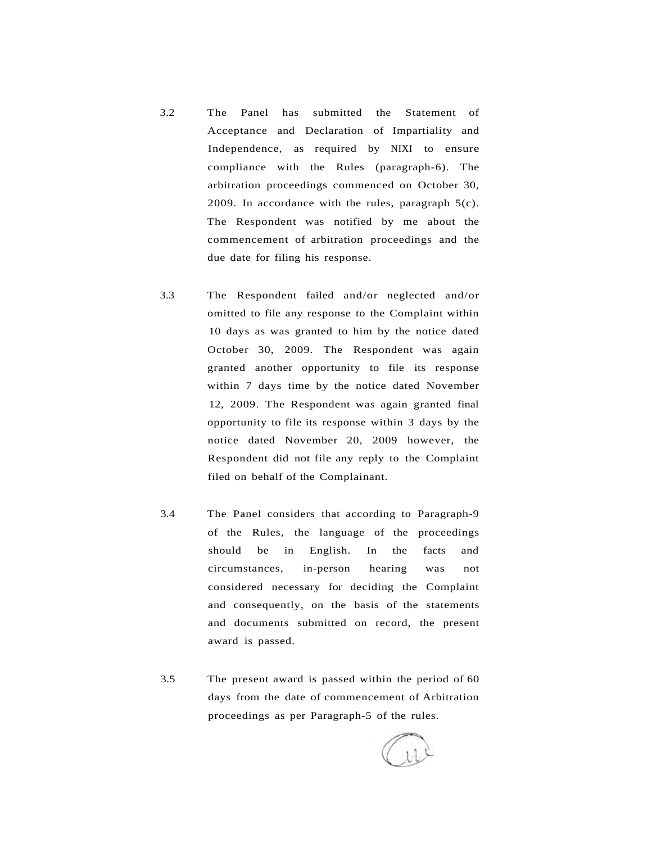- 3.2 The Panel has submitted the Statement of Acceptance and Declaration of Impartiality and Independence, as required by NIXI to ensure compliance with the Rules (paragraph-6). The arbitration proceedings commenced on October 30, 2009. In accordance with the rules, paragraph  $5(c)$ . The Respondent was notified by me about the commencement of arbitration proceedings and the due date for filing his response.
- 3.3 The Respondent failed and/or neglected and/or omitted to file any response to the Complaint within 10 days as was granted to him by the notice dated October 30, 2009. The Respondent was again granted another opportunity to file its response within 7 days time by the notice dated November 12, 2009. The Respondent was again granted final opportunity to file its response within 3 days by the notice dated November 20, 2009 however, the Respondent did not file any reply to the Complaint filed on behalf of the Complainant.
- 3.4 The Panel considers that according to Paragraph-9 of the Rules, the language of the proceedings should be in English. In the facts and circumstances, in-person hearing was not considered necessary for deciding the Complaint and consequently, on the basis of the statements and documents submitted on record, the present award is passed.
- 3.5 The present award is passed within the period of 60 days from the date of commencement of Arbitration proceedings as per Paragraph-5 of the rules.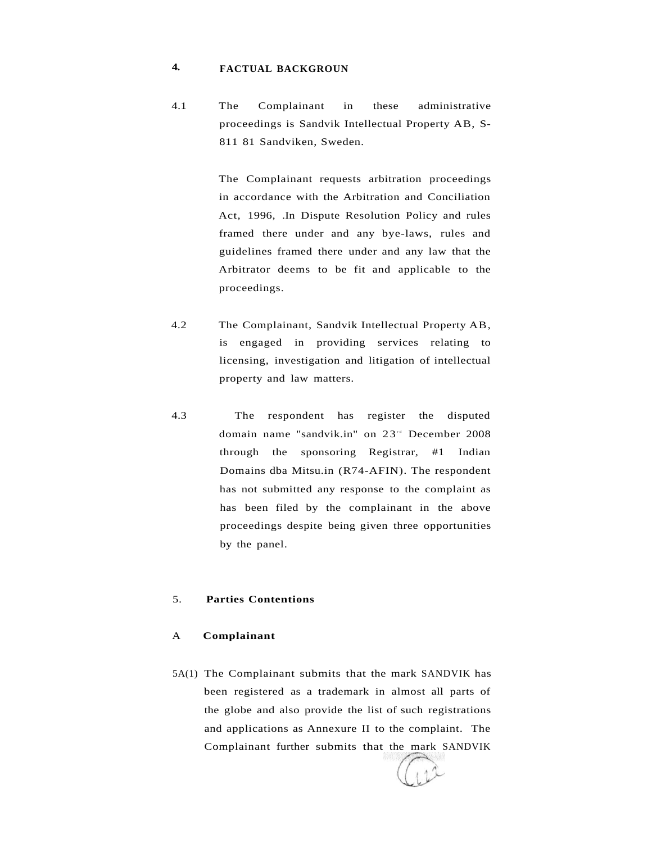#### **4. FACTUAL BACKGROUN**

4.1 The Complainant in these administrative proceedings is Sandvik Intellectual Property AB, S-811 81 Sandviken, Sweden.

> The Complainant requests arbitration proceedings in accordance with the Arbitration and Conciliation Act, 1996, .In Dispute Resolution Policy and rules framed there under and any bye-laws, rules and guidelines framed there under and any law that the Arbitrator deems to be fit and applicable to the proceedings.

- 4.2 The Complainant, Sandvik Intellectual Property AB, is engaged in providing services relating to licensing, investigation and litigation of intellectual property and law matters.
- 4.3 The respondent has register the disputed domain name "sandvik.in" on 23<sup>th</sup> December 2008 through the sponsoring Registrar, #1 Indian Domains dba Mitsu.in (R74-AFIN). The respondent has not submitted any response to the complaint as has been filed by the complainant in the above proceedings despite being given three opportunities by the panel.

# 5. **Parties Contentions**

#### A **Complainant**

5A(1) The Complainant submits that the mark SANDVIK has been registered as a trademark in almost all parts of the globe and also provide the list of such registrations and applications as Annexure II to the complaint. The Complainant further submits that the mark SANDVIK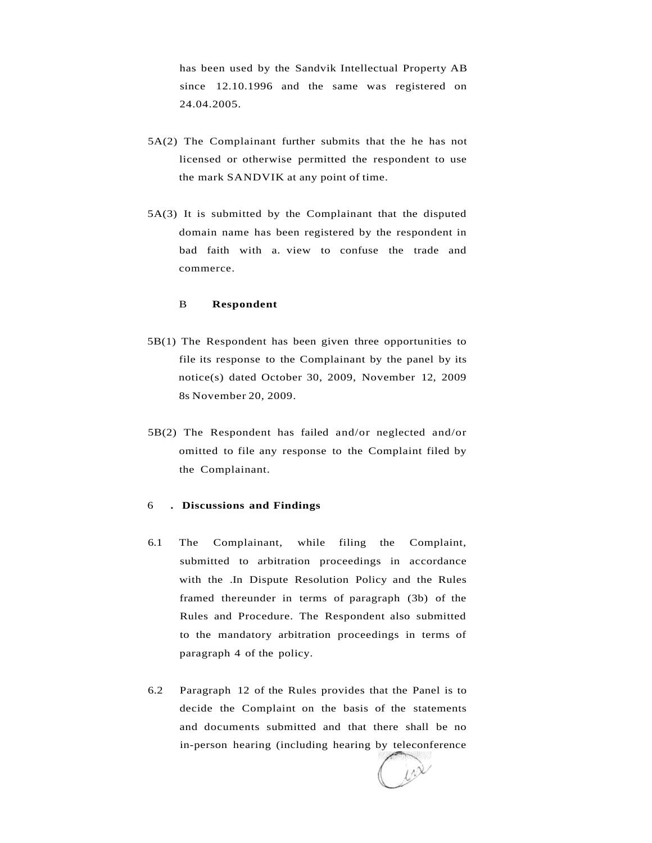has been used by the Sandvik Intellectual Property AB since 12.10.1996 and the same was registered on 24.04.2005.

- 5A(2) The Complainant further submits that the he has not licensed or otherwise permitted the respondent to use the mark SANDVIK at any point of time.
- 5A(3) It is submitted by the Complainant that the disputed domain name has been registered by the respondent in bad faith with a. view to confuse the trade and commerce.

#### B **Respondent**

- 5B(1) The Respondent has been given three opportunities to file its response to the Complainant by the panel by its notice(s) dated October 30, 2009, November 12, 2009 8s November 20, 2009.
- 5B(2) The Respondent has failed and/or neglected and/or omitted to file any response to the Complaint filed by the Complainant.

#### 6 **. Discussions and Findings**

- 6.1 The Complainant, while filing the Complaint, submitted to arbitration proceedings in accordance with the .In Dispute Resolution Policy and the Rules framed thereunder in terms of paragraph (3b) of the Rules and Procedure. The Respondent also submitted to the mandatory arbitration proceedings in terms of paragraph 4 of the policy.
- 6.2 Paragraph 12 of the Rules provides that the Panel is to decide the Complaint on the basis of the statements and documents submitted and that there shall be no in-person hearing (including hearing by teleconference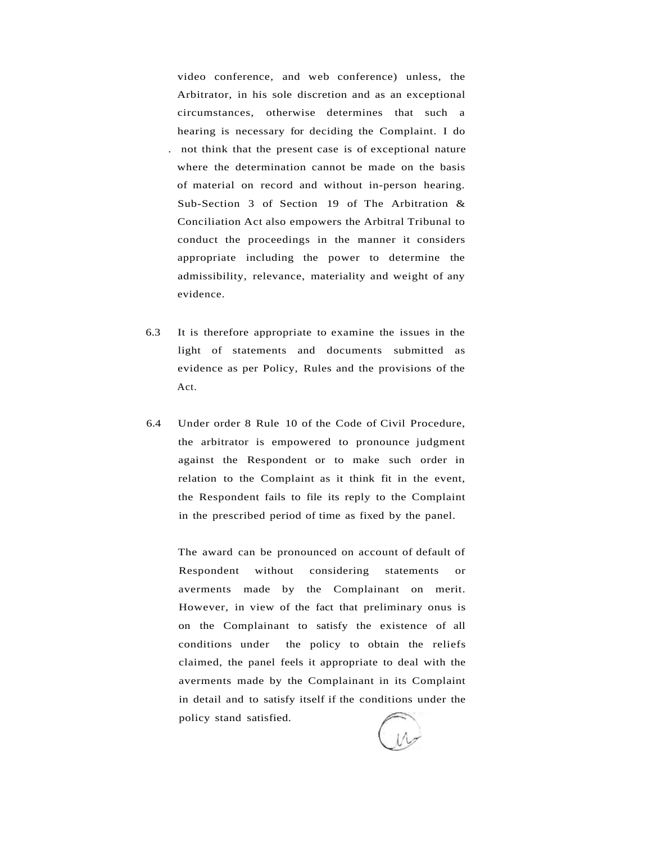video conference, and web conference) unless, the Arbitrator, in his sole discretion and as an exceptional circumstances, otherwise determines that such a hearing is necessary for deciding the Complaint. I do . not think that the present case is of exceptional nature where the determination cannot be made on the basis of material on record and without in-person hearing. Sub-Section 3 of Section 19 of The Arbitration & Conciliation Act also empowers the Arbitral Tribunal to conduct the proceedings in the manner it considers appropriate including the power to determine the admissibility, relevance, materiality and weight of any evidence.

- 6.3 It is therefore appropriate to examine the issues in the light of statements and documents submitted as evidence as per Policy, Rules and the provisions of the Act.
- 6.4 Under order 8 Rule 10 of the Code of Civil Procedure, the arbitrator is empowered to pronounce judgment against the Respondent or to make such order in relation to the Complaint as it think fit in the event, the Respondent fails to file its reply to the Complaint in the prescribed period of time as fixed by the panel.

The award can be pronounced on account of default of Respondent without considering statements or averments made by the Complainant on merit. However, in view of the fact that preliminary onus is on the Complainant to satisfy the existence of all conditions under the policy to obtain the reliefs claimed, the panel feels it appropriate to deal with the averments made by the Complainant in its Complaint in detail and to satisfy itself if the conditions under the policy stand satisfied.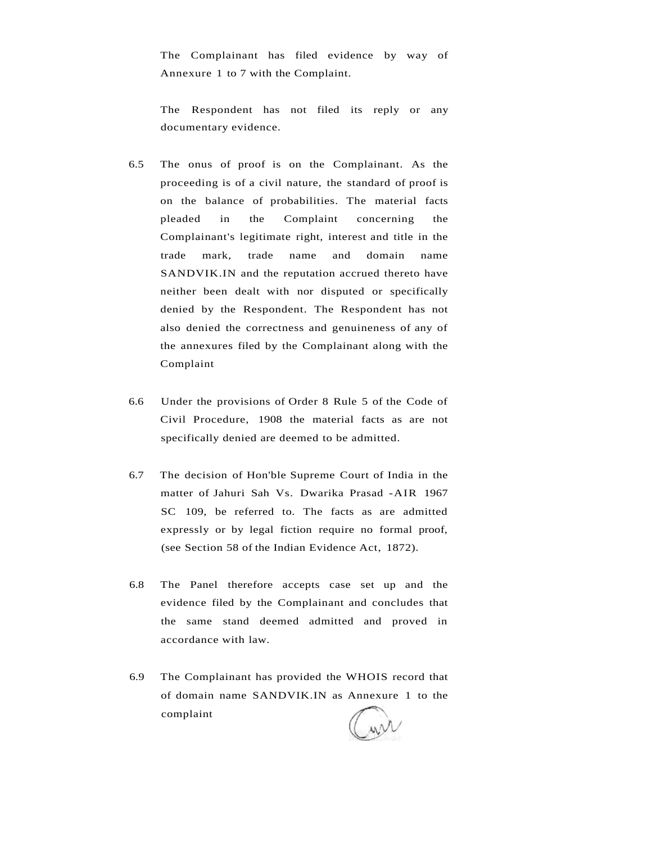The Complainant has filed evidence by way of Annexure 1 to 7 with the Complaint.

The Respondent has not filed its reply or any documentary evidence.

- 6.5 The onus of proof is on the Complainant. As the proceeding is of a civil nature, the standard of proof is on the balance of probabilities. The material facts pleaded in the Complaint concerning the Complainant's legitimate right, interest and title in the trade mark, trade name and domain name SANDVIK.IN and the reputation accrued thereto have neither been dealt with nor disputed or specifically denied by the Respondent. The Respondent has not also denied the correctness and genuineness of any of the annexures filed by the Complainant along with the Complaint
- 6.6 Under the provisions of Order 8 Rule 5 of the Code of Civil Procedure, 1908 the material facts as are not specifically denied are deemed to be admitted.
- 6.7 The decision of Hon'ble Supreme Court of India in the matter of Jahuri Sah Vs. Dwarika Prasad -AIR 1967 SC 109, be referred to. The facts as are admitted expressly or by legal fiction require no formal proof, (see Section 58 of the Indian Evidence Act, 1872).
- 6.8 The Panel therefore accepts case set up and the evidence filed by the Complainant and concludes that the same stand deemed admitted and proved in accordance with law.
- 6.9 The Complainant has provided the WHOIS record that of domain name SANDVIK.IN as Annexure 1 to the complaint

wil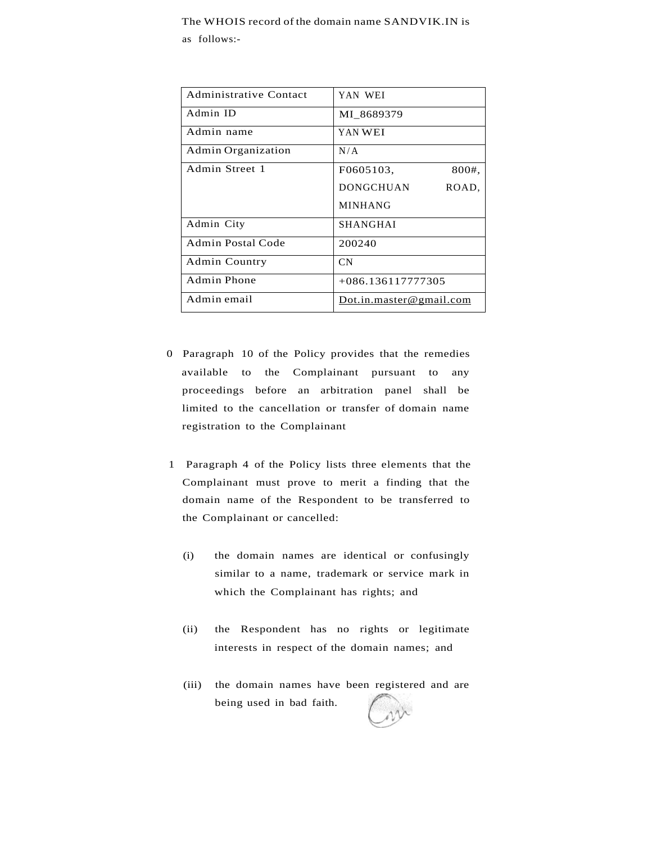#### The WHOIS record of the domain name SANDVIK.IN is

as follows:-

| Administrative Contact | YAN WEI                   |
|------------------------|---------------------------|
| Admin ID               | MI 8689379                |
| Admin name             | YAN WEI                   |
| Admin Organization     | N/A                       |
| Admin Street 1         | F0605103.<br>800#,        |
|                        | <b>DONGCHUAN</b><br>ROAD, |
|                        | <b>MINHANG</b>            |
| Admin City             | <b>SHANGHAI</b>           |
| Admin Postal Code      | 200240                    |
| Admin Country          | <b>CN</b>                 |
| Admin Phone            | $+086.136117777305$       |
| Admin email            | Dot.in.master@gmail.com   |

- 0 Paragraph 10 of the Policy provides that the remedies available to the Complainant pursuant to any proceedings before an arbitration panel shall be limited to the cancellation or transfer of domain name registration to the Complainant
- 1 Paragraph 4 of the Policy lists three elements that the Complainant must prove to merit a finding that the domain name of the Respondent to be transferred to the Complainant or cancelled:
	- (i) the domain names are identical or confusingly similar to a name, trademark or service mark in which the Complainant has rights; and
	- (ii) the Respondent has no rights or legitimate interests in respect of the domain names; and
	- (iii) the domain names have been registered and are being used in bad faith.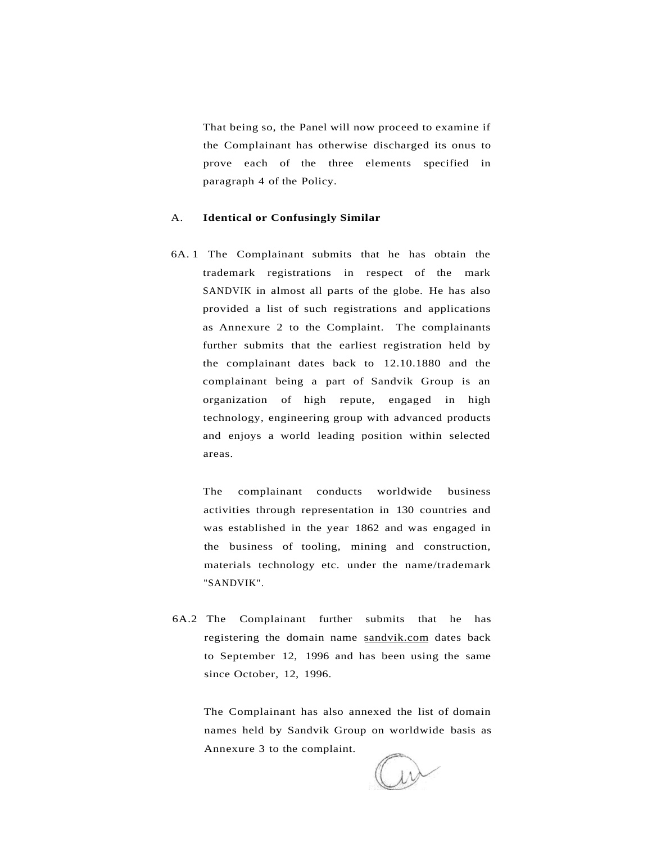That being so, the Panel will now proceed to examine if the Complainant has otherwise discharged its onus to prove each of the three elements specified in paragraph 4 of the Policy.

#### A. **Identical or Confusingly Similar**

6A. 1 The Complainant submits that he has obtain the trademark registrations in respect of the mark SANDVIK in almost all parts of the globe. He has also provided a list of such registrations and applications as Annexure 2 to the Complaint. The complainants further submits that the earliest registration held by the complainant dates back to 12.10.1880 and the complainant being a part of Sandvik Group is an organization of high repute, engaged in high technology, engineering group with advanced products and enjoys a world leading position within selected areas.

The complainant conducts worldwide business activities through representation in 130 countries and was established in the year 1862 and was engaged in the business of tooling, mining and construction, materials technology etc. under the name/trademark "SANDVIK".

6A.2 The Complainant further submits that he has registering the domain name [sandvik.com d](http://sandvik.com)ates back to September 12, 1996 and has been using the same since October, 12, 1996.

The Complainant has also annexed the list of domain names held by Sandvik Group on worldwide basis as Annexure 3 to the complaint.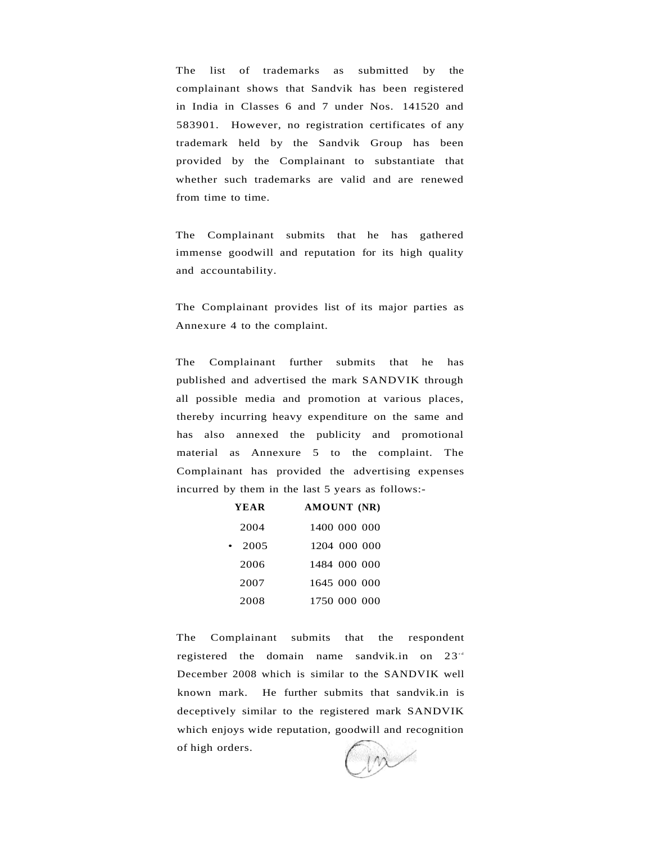The list of trademarks as submitted by the complainant shows that Sandvik has been registered in India in Classes 6 and 7 under Nos. 141520 and 583901. However, no registration certificates of any trademark held by the Sandvik Group has been provided by the Complainant to substantiate that whether such trademarks are valid and are renewed from time to time.

The Complainant submits that he has gathered immense goodwill and reputation for its high quality and accountability.

The Complainant provides list of its major parties as Annexure 4 to the complaint.

The Complainant further submits that he has published and advertised the mark SANDVIK through all possible media and promotion at various places, thereby incurring heavy expenditure on the same and has also annexed the publicity and promotional material as Annexure 5 to the complaint. The Complainant has provided the advertising expenses incurred by them in the last 5 years as follows:-

| YEAR | AMOUNT (NR)  |
|------|--------------|
| 2004 | 1400 000 000 |
| 2005 | 1204 000 000 |
| 2006 | 1484 000 000 |
| 2007 | 1645 000 000 |
| 2008 | 1750 000 000 |

The Complainant submits that the respondent registered the domain name sandvik.in on  $23^{rd}$ December 2008 which is similar to the SANDVIK well known mark. He further submits that sandvik.in is deceptively similar to the registered mark SANDVIK which enjoys wide reputation, goodwill and recognition of high orders.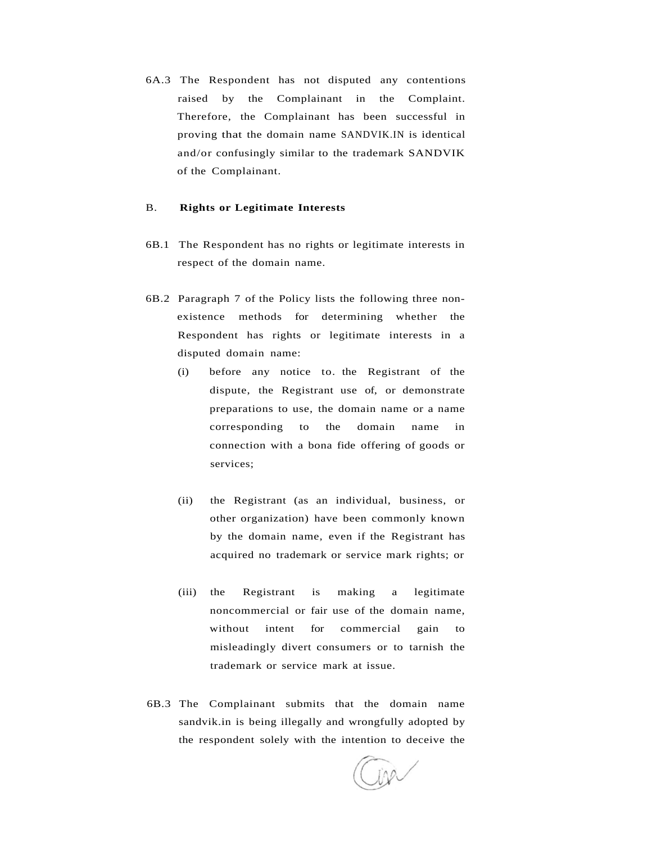6A.3 The Respondent has not disputed any contentions raised by the Complainant in the Complaint. Therefore, the Complainant has been successful in proving that the domain name SANDVIK.IN is identical and/or confusingly similar to the trademark SANDVIK of the Complainant.

#### B. **Rights or Legitimate Interests**

- 6B.1 The Respondent has no rights or legitimate interests in respect of the domain name.
- 6B.2 Paragraph 7 of the Policy lists the following three nonexistence methods for determining whether the Respondent has rights or legitimate interests in a disputed domain name:
	- (i) before any notice to. the Registrant of the dispute, the Registrant use of, or demonstrate preparations to use, the domain name or a name corresponding to the domain name in connection with a bona fide offering of goods or services;
	- (ii) the Registrant (as an individual, business, or other organization) have been commonly known by the domain name, even if the Registrant has acquired no trademark or service mark rights; or
	- (iii) the Registrant is making a legitimate noncommercial or fair use of the domain name, without intent for commercial gain to misleadingly divert consumers or to tarnish the trademark or service mark at issue.
- 6B.3 The Complainant submits that the domain name sandvik.in is being illegally and wrongfully adopted by the respondent solely with the intention to deceive the

ina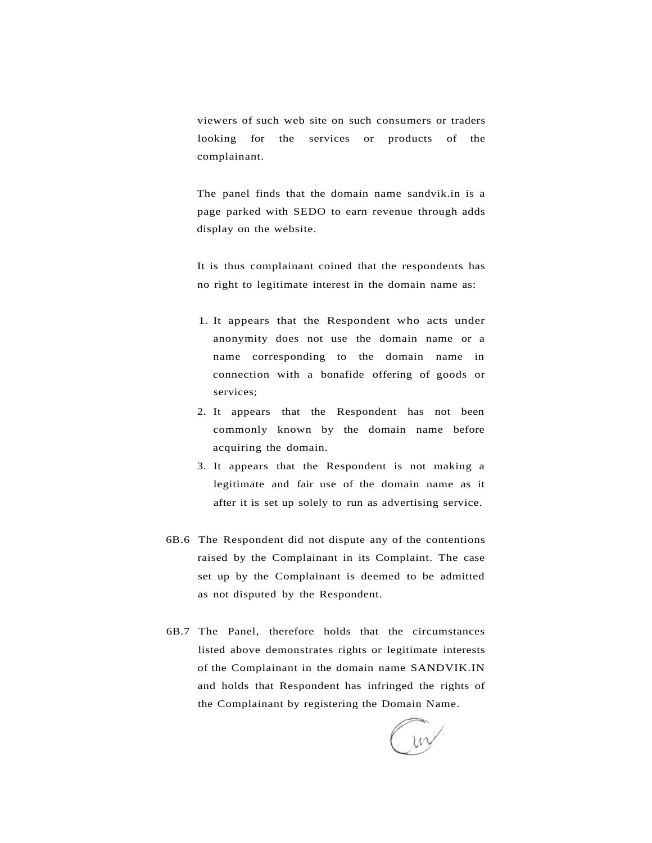viewers of such web site on such consumers or traders looking for the services or products of the complainant.

The panel finds that the domain name sandvik.in is a page parked with SEDO to earn revenue through adds display on the website.

It is thus complainant coined that the respondents has no right to legitimate interest in the domain name as:

- 1. It appears that the Respondent who acts under anonymity does not use the domain name or a name corresponding to the domain name in connection with a bonafide offering of goods or services;
- 2. It appears that the Respondent has not been commonly known by the domain name before acquiring the domain.
- 3. It appears that the Respondent is not making a legitimate and fair use of the domain name as it after it is set up solely to run as advertising service.
- 6B.6 The Respondent did not dispute any of the contentions raised by the Complainant in its Complaint. The case set up by the Complainant is deemed to be admitted as not disputed by the Respondent.
- 6B.7 The Panel, therefore holds that the circumstances listed above demonstrates rights or legitimate interests of the Complainant in the domain name SANDVIK.IN and holds that Respondent has infringed the rights of the Complainant by registering the Domain Name.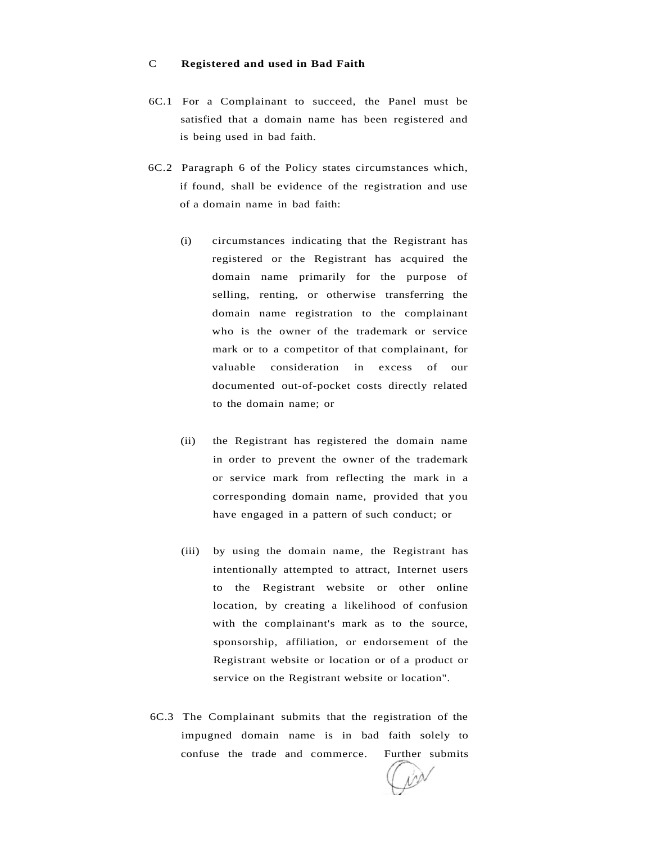#### C **Registered and used in Bad Faith**

- 6C.1 For a Complainant to succeed, the Panel must be satisfied that a domain name has been registered and is being used in bad faith.
- 6C.2 Paragraph 6 of the Policy states circumstances which, if found, shall be evidence of the registration and use of a domain name in bad faith:
	- (i) circumstances indicating that the Registrant has registered or the Registrant has acquired the domain name primarily for the purpose of selling, renting, or otherwise transferring the domain name registration to the complainant who is the owner of the trademark or service mark or to a competitor of that complainant, for valuable consideration in excess of our documented out-of-pocket costs directly related to the domain name; or
	- (ii) the Registrant has registered the domain name in order to prevent the owner of the trademark or service mark from reflecting the mark in a corresponding domain name, provided that you have engaged in a pattern of such conduct; or
	- (iii) by using the domain name, the Registrant has intentionally attempted to attract, Internet users to the Registrant website or other online location, by creating a likelihood of confusion with the complainant's mark as to the source, sponsorship, affiliation, or endorsement of the Registrant website or location or of a product or service on the Registrant website or location".
- 6C.3 The Complainant submits that the registration of the impugned domain name is in bad faith solely to confuse the trade and commerce. Further submits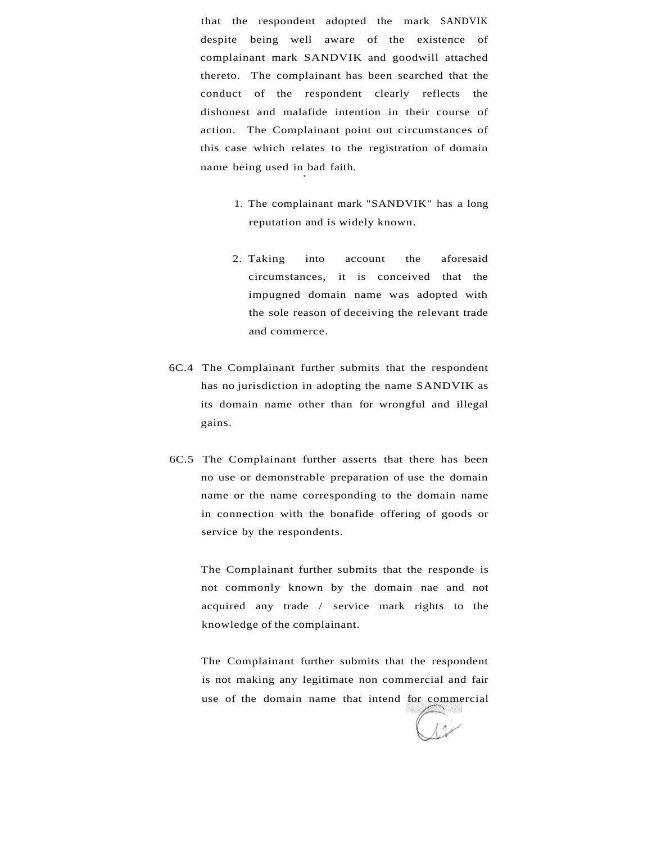that the respondent adopted the mark SANDVIK despite being well aware of the existence of complainant mark SANDVIK and goodwill attached thereto. The complainant has been searched that the conduct of the respondent clearly reflects the dishonest and malafide intention in their course of action. The Complainant point out circumstances of this case which relates to the registration of domain name being used in bad faith.

**\*** 

- 1. The complainant mark "SANDVIK" has a long reputation and is widely known.
- 2. Taking into account the aforesaid circumstances, it is conceived that the impugned domain name was adopted with the sole reason of deceiving the relevant trade and commerce.
- 6C.4 The Complainant further submits that the respondent has no jurisdiction in adopting the name SANDVIK as its domain name other than for wrongful and illegal gains.
- 6C.5 The Complainant further asserts that there has been no use or demonstrable preparation of use the domain name or the name corresponding to the domain name in connection with the bonafide offering of goods or service by the respondents.

The Complainant further submits that the responde is not commonly known by the domain nae and not acquired any trade / service mark rights to the knowledge of the complainant.

The Complainant further submits that the respondent is not making any legitimate non commercial and fair use of the domain name that intend for commercial